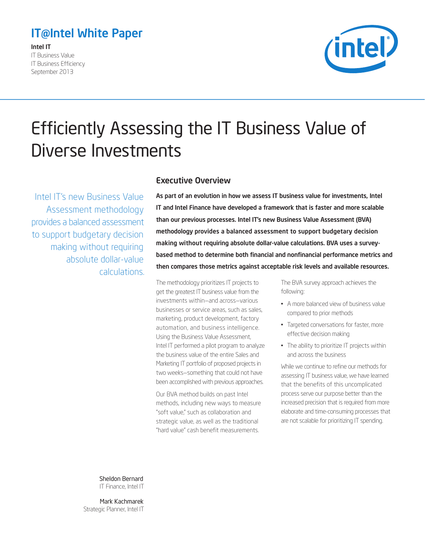## <span id="page-0-0"></span>IT@Intel White Paper

Intel IT

IT Business Value IT Business Efficiency September 2013



# Efficiently Assessing the IT Business Value of Diverse Investments

Intel IT's new Business Value Assessment methodology provides a balanced assessment to support budgetary decision making without requiring absolute dollar-value calculations.

### Executive Overview

As part of an evolution in how we assess IT business value for investments, Intel IT and Intel Finance have developed a framework that is faster and more scalable than our previous processes. Intel IT's new Business Value Assessment (BVA) methodology provides a balanced assessment to support budgetary decision making without requiring absolute dollar-value calculations. BVA uses a surveybased method to determine both financial and nonfinancial performance metrics and then compares those metrics against acceptable risk levels and available resources.

The methodology prioritizes IT projects to get the greatest IT business value from the investments within—and across—various businesses or service areas, such as sales, marketing, product development, factory automation, and business intelligence. Using the Business Value Assessment, Intel IT performed a pilot program to analyze the business value of the entire Sales and Marketing IT portfolio of proposed projects in two weeks—something that could not have been accomplished with previous approaches.

Our BVA method builds on past Intel methods, including new ways to measure "soft value," such as collaboration and strategic value, as well as the traditional "hard value" cash benefit measurements.

The BVA survey approach achieves the following:

- A more balanced view of business value compared to prior methods
- Targeted conversations for faster, more effective decision making
- The ability to prioritize IT projects within and across the business

While we continue to refine our methods for assessing IT business value, we have learned that the benefits of this uncomplicated process serve our purpose better than the increased precision that is required from more elaborate and time-consuming processes that are not scalable for prioritizing IT spending.

Sheldon Bernard IT Finance, Intel IT

Mark Kachmarek Strategic Planner, Intel IT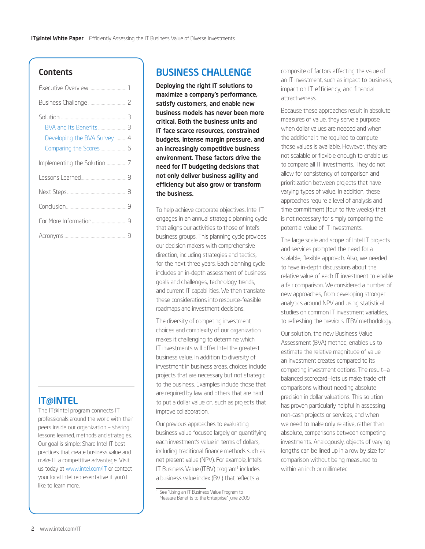#### Contents

| Developing the BVA Survey  4 |
|------------------------------|
|                              |
|                              |
|                              |
|                              |
|                              |
|                              |

### **IT@INTEL**

The IT@Intel program connects IT professionals around the world with their peers inside our organization – sharing lessons learned, methods and strategies. Our goal is simple: Share Intel IT best practices that create business value and make IT a competitive advantage. Visit us today at [www.intel.com/IT](http://www.intel.com/IT) or contact your local Intel representative if you'd like to learn more.

### Business Challenge

Deploying the right IT solutions to maximize a company's performance, satisfy customers, and enable new business models has never been more critical. Both the business units and IT face scarce resources, constrained budgets, intense margin pressure, and an increasingly competitive business environment. These factors drive the need for IT budgeting decisions that not only deliver business agility and efficiency but also grow or transform the business.

To help achieve corporate objectives, Intel IT engages in an annual strategic planning cycle that aligns our activities to those of Intel's business groups. This planning cycle provides our decision makers with comprehensive direction, including strategies and tactics, for the next three years. Each planning cycle includes an in-depth assessment of business goals and challenges, technology trends, and current IT capabilities. We then translate these considerations into resource-feasible roadmaps and investment decisions.

The diversity of competing investment choices and complexity of our organization makes it challenging to determine which IT investments will offer Intel the greatest business value. In addition to diversity of investment in business areas, choices include projects that are necessary but not strategic to the business. Examples include those that are required by law and others that are hard to put a dollar value on, such as projects that improve collaboration.

Our previous approaches to evaluating business value focused largely on quantifying each investment's value in terms of dollars, including traditional finance methods such as net present value (NPV). For example, Intel's IT Business Value (ITBV) program<sup>1</sup> includes a business value index (BVI) that reflects a

composite of factors affecting the value of an IT investment, such as impact to business, impact on IT efficiency, and financial attractiveness.

Because these approaches result in absolute measures of value, they serve a purpose when dollar values are needed and when the additional time required to compute those values is available. However, they are not scalable or flexible enough to enable us to compare all IT investments. They do not allow for consistency of comparison and prioritization between projects that have varying types of value. In addition, these approaches require a level of analysis and time commitment (four to five weeks) that is not necessary for simply comparing the potential value of IT investments.

The large scale and scope of Intel IT projects and services prompted the need for a scalable, flexible approach. Also, we needed to have in-depth discussions about the relative value of each IT investment to enable a fair comparison. We considered a number of new approaches, from developing stronger analytics around NPV and using statistical studies on common IT investment variables, to refreshing the previous ITBV methodology.

Our solution, the new Business Value Assessment (BVA) method, enables us to estimate the relative magnitude of value an investment creates compared to its competing investment options. The result—a balanced scorecard—lets us make trade-off comparisons without needing absolute precision in dollar valuations. This solution has proven particularly helpful in assessing non-cash projects or services, and when we need to make only relative, rather than absolute, comparisons between competing investments. Analogously, objects of varying lengths can be lined up in a row by size for comparison without being measured to within an inch or millimeter.

<sup>&</sup>lt;sup>1</sup> See "Using an IT Business Value Program to Measure Benefits to the Enterprise," June 2009.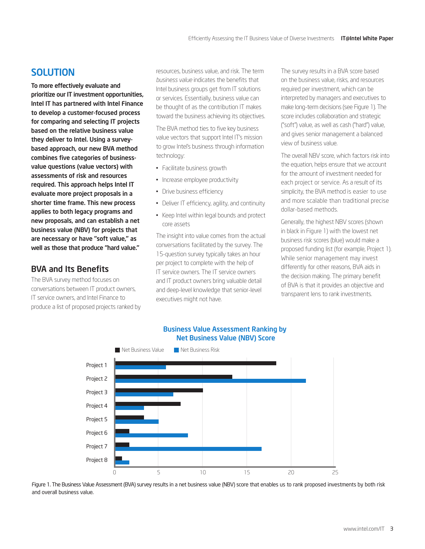### <span id="page-2-0"></span>**SOLUTION**

To more effectively evaluate and prioritize our IT investment opportunities, Intel IT has partnered with Intel Finance to develop a customer-focused process for comparing and selecting IT projects based on the relative business value they deliver to Intel. Using a surveybased approach, our new BVA method combines five categories of businessvalue questions (value vectors) with assessments of risk and resources required. This approach helps Intel IT evaluate more project proposals in a shorter time frame. This new process applies to both legacy programs and new proposals, and can establish a net business value (NBV) for projects that are necessary or have "soft value," as well as those that produce "hard value."

### BVA and Its Benefits

The BVA survey method focuses on conversations between IT product owners, IT service owners, and Intel Finance to produce a list of proposed projects ranked by resources, business value, and risk. The term *business value* indicates the benefits that Intel business groups get from IT solutions or services. Essentially, business value can be thought of as the contribution IT makes toward the business achieving its objectives.

The BVA method ties to five key business value vectors that support Intel IT's mission to grow Intel's business through information technology:

- Facilitate business growth
- Increase employee productivity
- Drive business efficiency
- Deliver IT efficiency, agility, and continuity
- Keep Intel within legal bounds and protect core assets

The insight into value comes from the actual conversations facilitated by the survey. The 15-question survey typically takes an hour per project to complete with the help of IT service owners. The IT service owners and IT product owners bring valuable detail and deep-level knowledge that senior-level executives might not have.

The survey results in a BVA score based on the business value, risks, and resources required per investment, which can be interpreted by managers and executives to make long-term decisions (see Figure 1). The score includes collaboration and strategic ("soft") value, as well as cash ("hard") value, and gives senior management a balanced view of business value.

The overall NBV score, which factors risk into the equation, helps ensure that we account for the amount of investment needed for each project or service. As a result of its simplicity, the BVA method is easier to use and more scalable than traditional precise dollar-based methods.

Generally, the highest NBV scores (shown in black in Figure 1) with the lowest net business risk scores (blue) would make a proposed funding list (for example, Project 1). While senior management may invest differently for other reasons, BVA aids in the decision making. The primary benefit of BVA is that it provides an objective and transparent lens to rank investments.



Business Value Assessment Ranking by Net Business Value (NBV) Score

Figure 1. The Business Value Assessment (BVA) survey results in a net business value (NBV) score that enables us to rank proposed investments by both risk and overall business value.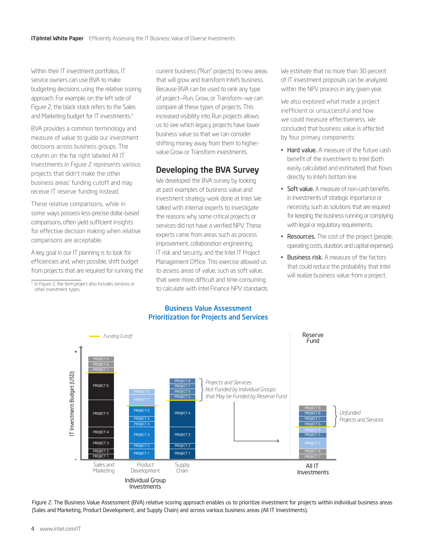<span id="page-3-0"></span>Within their IT investment portfolios, IT service owners can use BVA to make budgeting decisions using the relative scoring approach. For example, on the left side of Figure 2, the black stack refers to the Sales and Marketing budget for IT investments.<sup>2</sup>

BVA provides a common terminology and measure of value to guide our investment decisions across business groups. The column on the far right labeled All IT Investments in Figure 2 represents various projects that didn't make the other business areas' funding cutoff and may receive IT reserve funding instead.

These relative comparisons, while in some ways possess less-precise dollar-based comparisons, often yield sufficient insights for effective decision making when relative comparisons are acceptable.

A key goal in our IT planning is to look for efficiencies and, when possible, shift budget from projects that are required for running the

<sup>2</sup> In Figure 2, the term project also includes services or other investment types.

current business ("Run" projects) to new areas that will grow and transform Intel's business. Because BVA can be used to rank any type of project—Run, Grow, or Transform—we can compare all these types of projects. This increased visibility into Run projects allows us to see which legacy projects have lower business value so that we can consider shifting money away from them to highervalue Grow or Transform investments.

### Developing the BVA Survey

We developed the BVA survey by looking at past examples of business value and investment strategy work done at Intel. We talked with internal experts to investigate the reasons why some critical projects or services did not have a verified NPV. These experts came from areas such as process improvement, collaboration engineering, IT risk and security, and the Intel IT Project Management Office. This exercise allowed us to assess areas of value, such as soft value, that were more difficult and time-consuming to calculate with Intel Finance NPV standards.

#### Business Value Assessment Prioritization for Projects and Services

We estimate that no more than 30 percent of IT investment proposals can be analyzed within the NPV process in any given year.

We also explored what made a project inefficient or unsuccessful and how we could measure effectiveness. We concluded that business value is affected by four primary components:

- Hard value. A measure of the future cash benefit of the investment to Intel (both easily calculated and estimated) that flows directly to Intel's bottom line.
- Soft value. A measure of non-cash benefits in investments of strategic importance or necessity, such as solutions that are required for keeping the business running or complying with legal or regulatory requirements.
- Resources. The cost of the project (people, operating costs, duration, and capital expenses).
- Business risk. A measure of the factors that could reduce the probability that Intel will realize business value from a project.



Figure 2. The Business Value Assessment (BVA) relative scoring approach enables us to prioritize investment for projects within individual business areas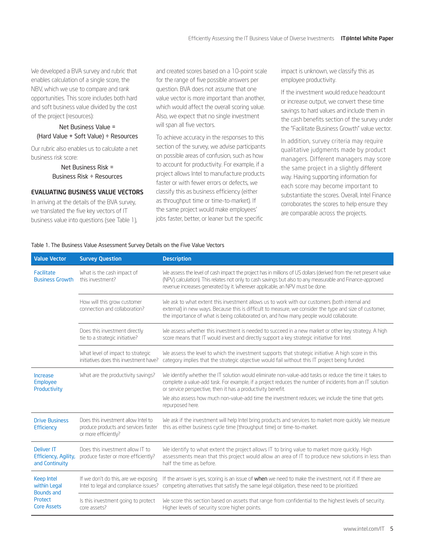We developed a BVA survey and rubric that enables calculation of a single score, the NBV, which we use to compare and rank opportunities. This score includes both hard and soft business value divided by the cost of the project (resources):

#### Net Business Value = (Hard Value + Soft Value) ÷ Resources

Our rubric also enables us to calculate a net business risk score:

> Net Business Risk = Business Risk ÷ Resources

#### Evaluating Business Value Vectors

In arriving at the details of the BVA survey, we translated the five key vectors of IT business value into questions (see Table 1), and created scores based on a 10-point scale for the range of five possible answers per question. BVA does not assume that one value vector is more important than another, which would affect the overall scoring value. Also, we expect that no single investment will span all five vectors.

To achieve accuracy in the responses to this section of the survey, we advise participants on possible areas of confusion, such as how to account for productivity. For example, if a project allows Intel to manufacture products faster or with fewer errors or defects, we classify this as business efficiency (either as throughput time or time-to-market). If the same project would make employees' jobs faster, better, or leaner but the specific

impact is unknown, we classify this as employee productivity.

If the investment would reduce headcount or increase output, we convert these time savings to hard values and include them in the cash benefits section of the survey under the "Facilitate Business Growth" value vector.

In addition, survey criteria may require qualitative judgments made by product managers. Different managers may score the same project in a slightly different way. Having supporting information for each score may become important to substantiate the scores. Overall, Intel Finance corroborates the scores to help ensure they are comparable across the projects.

#### Table 1. The Business Value Assessment Survey Details on the Five Value Vectors

| <b>Value Vector</b>                                                       | <b>Survey Question</b>                                                                              | <b>Description</b>                                                                                                                                                                                                                                                                                                                                                                                        |  |
|---------------------------------------------------------------------------|-----------------------------------------------------------------------------------------------------|-----------------------------------------------------------------------------------------------------------------------------------------------------------------------------------------------------------------------------------------------------------------------------------------------------------------------------------------------------------------------------------------------------------|--|
| Facilitate<br><b>Business Growth</b>                                      | What is the cash impact of<br>this investment?                                                      | We assess the level of cash impact the project has in millions of US dollars (derived from the net present value<br>(NPV) calculation). This relates not only to cash savings but also to any measurable and Finance-approved<br>revenue increases generated by it. Wherever applicable, an NPV must be done.                                                                                             |  |
|                                                                           | How will this grow customer<br>connection and collaboration?                                        | We ask to what extent this investment allows us to work with our customers (both internal and<br>external) in new ways. Because this is difficult to measure, we consider the type and size of customer,<br>the importance of what is being collaborated on, and how many people would collaborate.                                                                                                       |  |
|                                                                           | Does this investment directly<br>tie to a strategic initiative?                                     | We assess whether this investment is needed to succeed in a new market or other key strategy. A high<br>score means that IT would invest and directly support a key strategic initiative for Intel.                                                                                                                                                                                                       |  |
|                                                                           | What level of impact to strategic<br>initiatives does this investment have?                         | We assess the level to which the investment supports that strategic initiative. A high score in this<br>category implies that the strategic objective would fail without this IT project being funded.                                                                                                                                                                                                    |  |
| Increase<br>Employee<br>Productivity                                      | What are the productivity savings?                                                                  | We identify whether the IT solution would eliminate non-value-add tasks or reduce the time it takes to<br>complete a value-add task. For example, if a project reduces the number of incidents from an IT solution<br>or service perspective, then it has a productivity benefit.<br>We also assess how much non-value-add time the investment reduces; we include the time that gets<br>repurposed here. |  |
| <b>Drive Business</b><br>Efficiency                                       | Does this investment allow Intel to<br>produce products and services faster<br>or more efficiently? | We ask if the investment will help Intel bring products and services to market more quickly. We measure<br>this as either business cycle time (throughput time) or time-to-market.                                                                                                                                                                                                                        |  |
| <b>Deliver IT</b><br>Efficiency, Agility,<br>and Continuity               | Does this investment allow IT to<br>produce faster or more efficiently?                             | We identify to what extent the project allows IT to bring value to market more quickly. High<br>assessments mean that this project would allow an area of IT to produce new solutions in less than<br>half the time as before.                                                                                                                                                                            |  |
| Keep Intel<br>within Legal<br><b>Bounds and</b><br>Protect<br>Core Assets | If we don't do this, are we exposing<br>Intel to legal and compliance issues?                       | If the answer is yes, scoring is an issue of when we need to make the investment, not if. If there are<br>competing alternatives that satisfy the same legal obligation, these need to be prioritized.                                                                                                                                                                                                    |  |
|                                                                           | Is this investment going to protect<br>core assets?                                                 | We score this section based on assets that range from confidential to the highest levels of security.<br>Higher levels of security score higher points.                                                                                                                                                                                                                                                   |  |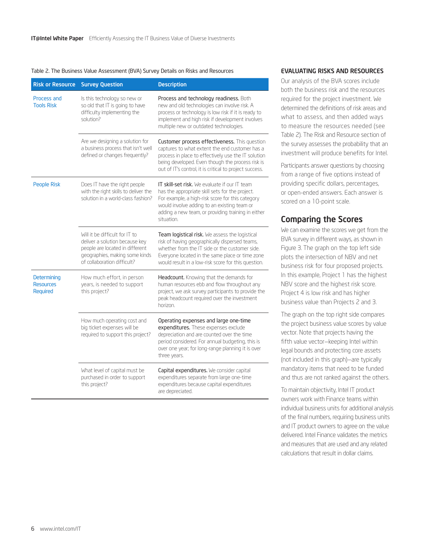#### <span id="page-5-0"></span>Table 2. The Business Value Assessment (BVA) Survey Details on Risks and Resources

| <b>Risk or Resource</b>                     | <b>Survey Question</b>                                                                                                                                               | <b>Description</b>                                                                                                                                                                                                                                                      |
|---------------------------------------------|----------------------------------------------------------------------------------------------------------------------------------------------------------------------|-------------------------------------------------------------------------------------------------------------------------------------------------------------------------------------------------------------------------------------------------------------------------|
| Process and<br><b>Tools Risk</b>            | Is this technology so new or<br>so old that IT is going to have<br>difficulty implementing the<br>solution?                                                          | Process and technology readiness. Both<br>new and old technologies can involve risk. A<br>process or technology is low risk if it is ready to<br>implement and high risk if development involves<br>multiple new or outdated technologies.                              |
|                                             | Are we designing a solution for<br>a business process that isn't well<br>defined or changes frequently?                                                              | Customer process effectiveness. This question<br>captures to what extent the end customer has a<br>process in place to effectively use the IT solution<br>being developed. Even though the process risk is<br>out of IT's control, it is critical to project success.   |
| <b>People Risk</b>                          | Does IT have the right people<br>with the right skills to deliver the<br>solution in a world-class fashion?                                                          | IT skill-set risk. We evaluate if our IT team<br>has the appropriate skill sets for the project.<br>For example, a high-risk score for this category<br>would involve adding to an existing team or<br>adding a new team, or providing training in either<br>situation. |
|                                             | Will it be difficult for IT to<br>deliver a solution because key<br>people are located in different<br>geographies, making some kinds<br>of collaboration difficult? | Team logistical risk. We assess the logistical<br>risk of having geographically dispersed teams,<br>whether from the IT side or the customer side.<br>Everyone located in the same place or time zone<br>would result in a low-risk score for this question.            |
| Determining<br><b>Resources</b><br>Required | How much effort, in person<br>years, is needed to support<br>this project?                                                                                           | Headcount. Knowing that the demands for<br>human resources ebb and flow throughout any<br>project, we ask survey participants to provide the<br>peak headcount required over the investment<br>horizon.                                                                 |
|                                             | How much operating cost and<br>big ticket expenses will be<br>required to support this project?                                                                      | Operating expenses and large one-time<br>expenditures. These expenses exclude<br>depreciation and are counted over the time<br>period considered. For annual budgeting, this is<br>over one year; for long-range planning it is over<br>three years.                    |
|                                             | What level of capital must be<br>purchased in order to support<br>this project?                                                                                      | Capital expenditures. We consider capital<br>expenditures separate from large one-time<br>expenditures because capital expenditures<br>are depreciated.                                                                                                                 |

#### Evaluating Risks and Resources

Our analysis of the BVA scores include both the business risk and the resources required for the project investment. We determined the definitions of risk areas and what to assess, and then added ways to measure the resources needed (see Table 2). The Risk and Resource section of the survey assesses the probability that an investment will produce benefits for Intel.

Participants answer questions by choosing from a range of five options instead of providing specific dollars, percentages, or open-ended answers. Each answer is scored on a 10-point scale.

#### Comparing the Scores

We can examine the scores we get from the BVA survey in different ways, as shown in Figure 3. The graph on the top left side plots the intersection of NBV and net business risk for four proposed projects. In this example, Project 1 has the highest NBV score and the highest risk score. Project 4 is low risk and has higher business value than Projects 2 and 3.

The graph on the top right side compares the project business value scores by value vector. Note that projects having the fifth value vector—keeping Intel within legal bounds and protecting core assets (not included in this graph)—are typically mandatory items that need to be funded and thus are not ranked against the others.

To maintain objectivity, Intel IT product owners work with Finance teams within individual business units for additional analysis of the final numbers, requiring business units and IT product owners to agree on the value delivered. Intel Finance validates the metrics and measures that are used and any related calculations that result in dollar claims.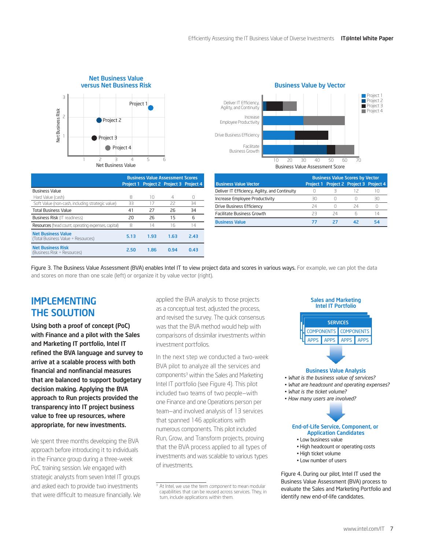<span id="page-6-0"></span>

|                                                                 | <b>Business Value Assessment Scores</b> |                                         |      |      |
|-----------------------------------------------------------------|-----------------------------------------|-----------------------------------------|------|------|
|                                                                 |                                         | Project 1 Project 2 Project 3 Project 4 |      |      |
| <b>Business Value</b>                                           |                                         |                                         |      |      |
| Hard Value (cash)                                               | 8                                       | 10                                      | 4    | n    |
| Soft Value (non-cash, including strategic value)                | 33                                      | 17                                      | 22   | 34   |
| <b>Total Business Value</b>                                     | 41                                      | 27                                      | 26   | 34   |
| <b>Business Risk (IT readiness)</b>                             | 20                                      | 26                                      | 15   | 6    |
| Resources (head count, operating expenses, capital)             | 8                                       | 14                                      | 16   | 14   |
| <b>Net Business Value</b><br>(Total Business Value ÷ Resources) | 5.13                                    | 1.93                                    | 1.63 | 2.43 |
| <b>Net Business Risk</b><br>(Business Risk ÷ Resources)         | 2.50                                    | 1.86                                    | 0.94 | 0.43 |



|                                                | <b>Business Value Scores by Vector</b> |    |                                         |    |
|------------------------------------------------|----------------------------------------|----|-----------------------------------------|----|
| <b>Business Value Vector</b>                   |                                        |    | Project 1 Project 2 Project 3 Project 4 |    |
| Deliver IT Efficiency, Agility, and Continuity |                                        |    |                                         |    |
| Increase Employee Productivity                 | RΩ                                     |    |                                         | 30 |
| Drive Business Efficiency                      | 24                                     |    | 24                                      |    |
| <b>Facilitate Business Growth</b>              | フコ                                     | 24 |                                         | 14 |
| <b>Business Value</b>                          |                                        |    |                                         | 54 |

Figure 3. The Business Value Assessment (BVA) enables Intel IT to view project data and scores in various ways. For example, we can plot the data and scores on more than one scale (left) or organize it by value vector (right).

### **IMPLEMENTING** the Solution

Using both a proof of concept (PoC) with Finance and a pilot with the Sales and Marketing IT portfolio, Intel IT refined the BVA language and survey to arrive at a scalable process with both financial and nonfinancial measures that are balanced to support budgetary decision making. Applying the BVA approach to Run projects provided the transparency into IT project business value to free up resources, where appropriate, for new investments.

We spent three months developing the BVA approach before introducing it to individuals in the Finance group during a three-week PoC training session. We engaged with strategic analysts from seven Intel IT groups and asked each to provide two investments that were difficult to measure financially. We applied the BVA analysis to those projects as a conceptual test, adjusted the process, and revised the survey. The quick consensus was that the BVA method would help with comparisons of dissimilar investments within investment portfolios.

In the next step we conducted a two-week BVA pilot to analyze all the services and components<sup>3</sup> within the Sales and Marketing Intel IT portfolio (see Figure 4). This pilot included two teams of two people—with one Finance and one Operations person per team—and involved analysis of 13 services that spanned 146 applications with numerous components. This pilot included Run, Grow, and Transform projects, proving that the BVA process applied to all types of investments and was scalable to various types of investments.



#### Business Value Analysis

- *What is the business value of services?*
- *What are headcount and operating expenses?*
- *What is the ticket volume?*
- *How many users are involved?*



- Low business value
- High headcount or operating costs
- High ticket volume
- Low number of users

Figure 4. During our pilot, Intel IT used the Business Value Assessment (BVA) process to evaluate the Sales and Marketing Portfolio and identify new end-of-life candidates.

<sup>3</sup> At Intel, we use the term *component* to mean modular capabilities that can be reused across services. They, in turn, include applications within them.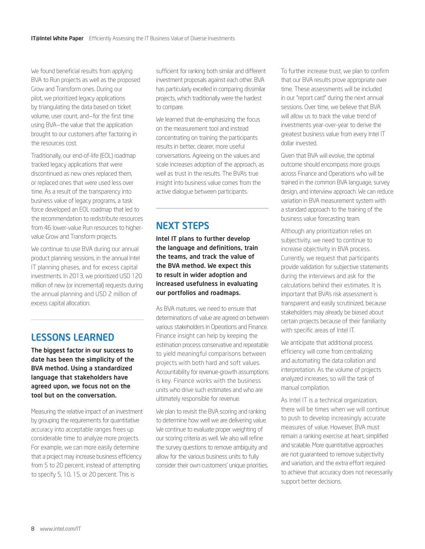<span id="page-7-0"></span>We found beneficial results from applying BVA to Run projects as well as the proposed Grow and Transform ones. During our pilot, we prioritized legacy applications by triangulating the data based on ticket volume, user count, and—for the first time using BVA—the value that the application brought to our customers after factoring in the resources cost.

Traditionally, our end-of-life (EOL) roadmap tracked legacy applications that were discontinued as new ones replaced them, or replaced ones that were used less over time. As a result of the transparency into business value of legacy programs, a task force developed an EOL roadmap that led to the recommendation to redistribute resources from 46 lower-value Run resources to highervalue Grow and Transform projects.

We continue to use BVA during our annual product planning sessions, in the annual Intel IT planning phases, and for excess capital investments. In 2013, we prioritized USD 120 million of new (or incremental) requests during the annual planning and USD 2 million of excess capital allocation.

### Lessons Learned

The biggest factor in our success to date has been the simplicity of the BVA method. Using a standardized language that stakeholders have agreed upon, we focus not on the tool but on the conversation.

Measuring the relative impact of an investment by grouping the requirements for quantitative accuracy into acceptable ranges frees up considerable time to analyze more projects. For example, we can more easily determine that a project may increase business efficiency from 5 to 20 percent, instead of attempting to specify 5, 10, 15, or 20 percent. This is

sufficient for ranking both similar and different investment proposals against each other. BVA has particularly excelled in comparing dissimilar projects, which traditionally were the hardest to compare.

We learned that de-emphasizing the focus on the measurement tool and instead concentrating on training the participants results in better, clearer, more useful conversations. Agreeing on the values and scale increases adoption of the approach, as well as trust in the results. The BVA's true insight into business value comes from the active dialogue between participants.

### Next Steps

Intel IT plans to further develop the language and definitions, train the teams, and track the value of the BVA method. We expect this to result in wider adoption and increased usefulness in evaluating our portfolios and roadmaps.

As BVA matures, we need to ensure that determinations of value are agreed on between various stakeholders in Operations and Finance. Finance insight can help by keeping the estimation process conservative and repeatable to yield meaningful comparisons between projects with both hard and soft values. Accountability for revenue-growth assumptions is key. Finance works with the business units who drive such estimates and who are ultimately responsible for revenue.

We plan to revisit the BVA scoring and ranking to determine how well we are delivering value. We continue to evaluate proper weighting of our scoring criteria as well. We also will refine the survey questions to remove ambiguity and allow for the various business units to fully consider their own customers' unique priorities.

To further increase trust, we plan to confirm that our BVA results prove appropriate over time. These assessments will be included in our "report card" during the next annual sessions. Over time, we believe that BVA will allow us to track the value trend of investments year-over-year to derive the greatest business value from every Intel IT dollar invested.

Given that BVA will evolve, the optimal outcome should encompass more groups across Finance and Operations who will be trained in the common BVA language, survey design, and interview approach. We can reduce variation in BVA measurement system with a standard approach to the training of the business value forecasting team.

Although any prioritization relies on subjectivity, we need to continue to increase objectivity in BVA process. Currently, we request that participants provide validation for subjective statements during the interviews and ask for the calculations behind their estimates. It is important that BVA's risk assessment is transparent and easily scrutinized, because stakeholders may already be biased about certain projects because of their familiarity with specific areas of Intel IT.

We anticipate that additional process efficiency will come from centralizing and automating the data collation and interpretation. As the volume of projects analyzed increases, so will the task of manual compilation.

As Intel IT is a technical organization, there will be times when we will continue to push to develop increasingly accurate measures of value. However, BVA must remain a ranking exercise at heart, simplified and scalable. More quantitative approaches are not guaranteed to remove subjectivity and variation, and the extra effort required to achieve that accuracy does not necessarily support better decisions.